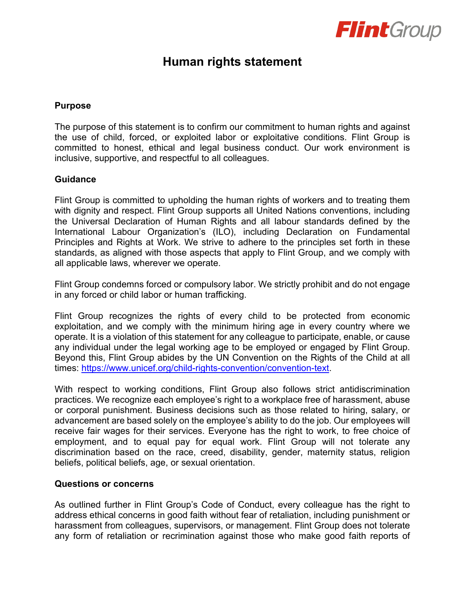

## **Human rights statement**

## **Purpose**

The purpose of this statement is to confirm our commitment to human rights and against the use of child, forced, or exploited labor or exploitative conditions. Flint Group is committed to honest, ethical and legal business conduct. Our work environment is inclusive, supportive, and respectful to all colleagues.

## **Guidance**

Flint Group is committed to upholding the human rights of workers and to treating them with dignity and respect. Flint Group supports all United Nations conventions, including the Universal Declaration of Human Rights and all labour standards defined by the International Labour Organization's (ILO), including Declaration on Fundamental Principles and Rights at Work. We strive to adhere to the principles set forth in these standards, as aligned with those aspects that apply to Flint Group, and we comply with all applicable laws, wherever we operate.

Flint Group condemns forced or compulsory labor. We strictly prohibit and do not engage in any forced or child labor or human trafficking.

Flint Group recognizes the rights of every child to be protected from economic exploitation, and we comply with the minimum hiring age in every country where we operate. It is a violation of this statement for any colleague to participate, enable, or cause any individual under the legal working age to be employed or engaged by Flint Group. Beyond this, Flint Group abides by the UN Convention on the Rights of the Child at all times: [https://www.unicef.org/child-rights-convention/convention-text.](https://www.unicef.org/child-rights-convention/convention-text)

With respect to working conditions, Flint Group also follows strict antidiscrimination practices. We recognize each employee's right to a workplace free of harassment, abuse or corporal punishment. Business decisions such as those related to hiring, salary, or advancement are based solely on the employee's ability to do the job. Our employees will receive fair wages for their services. Everyone has the right to work, to free choice of employment, and to equal pay for equal work. Flint Group will not tolerate any discrimination based on the race, creed, disability, gender, maternity status, religion beliefs, political beliefs, age, or sexual orientation.

## **Questions or concerns**

As outlined further in Flint Group's Code of Conduct, every colleague has the right to address ethical concerns in good faith without fear of retaliation, including punishment or harassment from colleagues, supervisors, or management. Flint Group does not tolerate any form of retaliation or recrimination against those who make good faith reports of